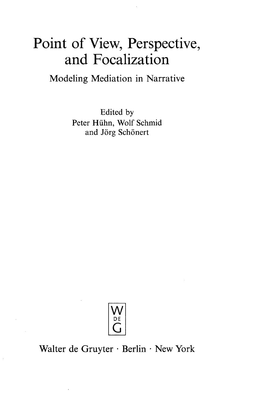## Point of View, Perspective, and Focalization

Modeling Mediation in Narrative

Edited by Peter Hiihn, Wolf Schmid and Jörg Schönert



Walter de Gruyter • Berlin • New York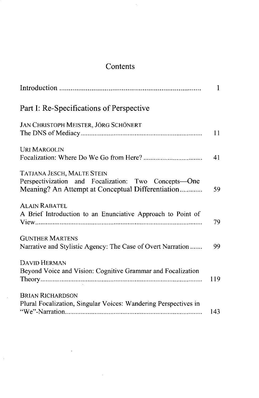## **Contents**

 $\bar{\beta}$ 

|                                                                                                                                                | 1   |
|------------------------------------------------------------------------------------------------------------------------------------------------|-----|
| Part I: Re-Specifications of Perspective                                                                                                       |     |
| JAN CHRISTOPH MEISTER, JÖRG SCHÖNERT                                                                                                           | 11  |
| <b>URI MARGOLIN</b>                                                                                                                            | 41  |
| <b>TATJANA JESCH, MALTE STEIN</b><br>Perspectivization and Focalization: Two Concepts—One<br>Meaning? An Attempt at Conceptual Differentiation | 59  |
| <b>ALAIN RABATEL</b><br>A Brief Introduction to an Enunciative Approach to Point of                                                            | 79  |
| <b>GUNTHER MARTENS</b><br>Narrative and Stylistic Agency: The Case of Overt Narration                                                          | 99  |
| <b>DAVID HERMAN</b><br>Beyond Voice and Vision: Cognitive Grammar and Focalization                                                             | 119 |
| <b>BRIAN RICHARDSON</b><br>Plural Focalization, Singular Voices: Wandering Perspectives in                                                     | 143 |

 $\sim$ 

 $\hat{u}$ 

 $\bar{z}$ 

 $\sim$